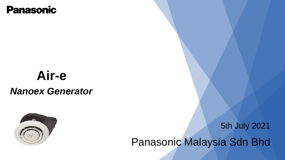### **Panasonic**

# **Air-e** *Nanoex Generator*



5th July 2021

Panasonic Malaysia Sdn Bhd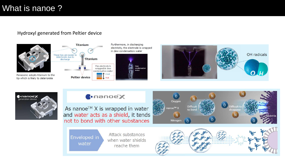#### What is nanoe ?

#### Hydroxyl generated from Peltier device



Panasonic adopts titanium to the tip which is likely to deteriorate



Furthermore, in discharging electricity, the electrode is wrapped in dew condensation water







#### **C**onano<mark>x</mark>

As nanoe<sup>™</sup> X is wrapped in water and water acts as a shield, it tends not to bond with other substances



Enveloped in water

Attack substances when water shields reache them

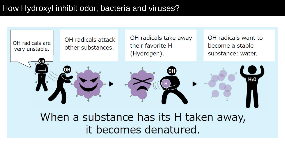### How Hydroxyl inhibit odor, bacteria and viruses?



## When a substance has its H taken away, it becomes denatured.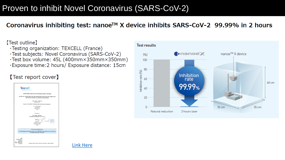### Proven to inhibit Novel Coronavirus (SARS-CoV-2)

#### Coronavirus inhibiting test: nanoe<sup>™</sup> X device inhibits SARS-CoV-2 99.99% in 2 hours

#### [Test outline]

- . Testing organization: TEXCELL (France)
- ·Test subjects: Novel Coronavirus (SARS-CoV-2)
- . Test box volume: 45L (400mm×350mm×350mm)
- .Exposure time: 2 hours/ Exposure distance: 15cm

#### [Test report cover]





[Link Here](https://www.panasonic.com/my/corporate/news/articles/verification-of-inhibitory-effect-of-nano-x-technology-with-known-benefits-of-hydroxyl-radicals-on-novel-coronavirus-sars-cov-2.html)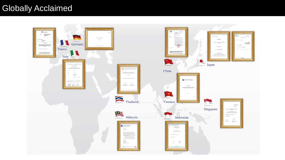### Globally Acclaimed

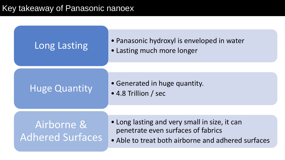Key takeaway of Panasonic nanoex

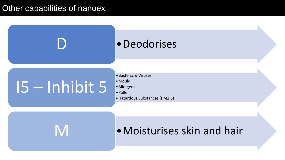